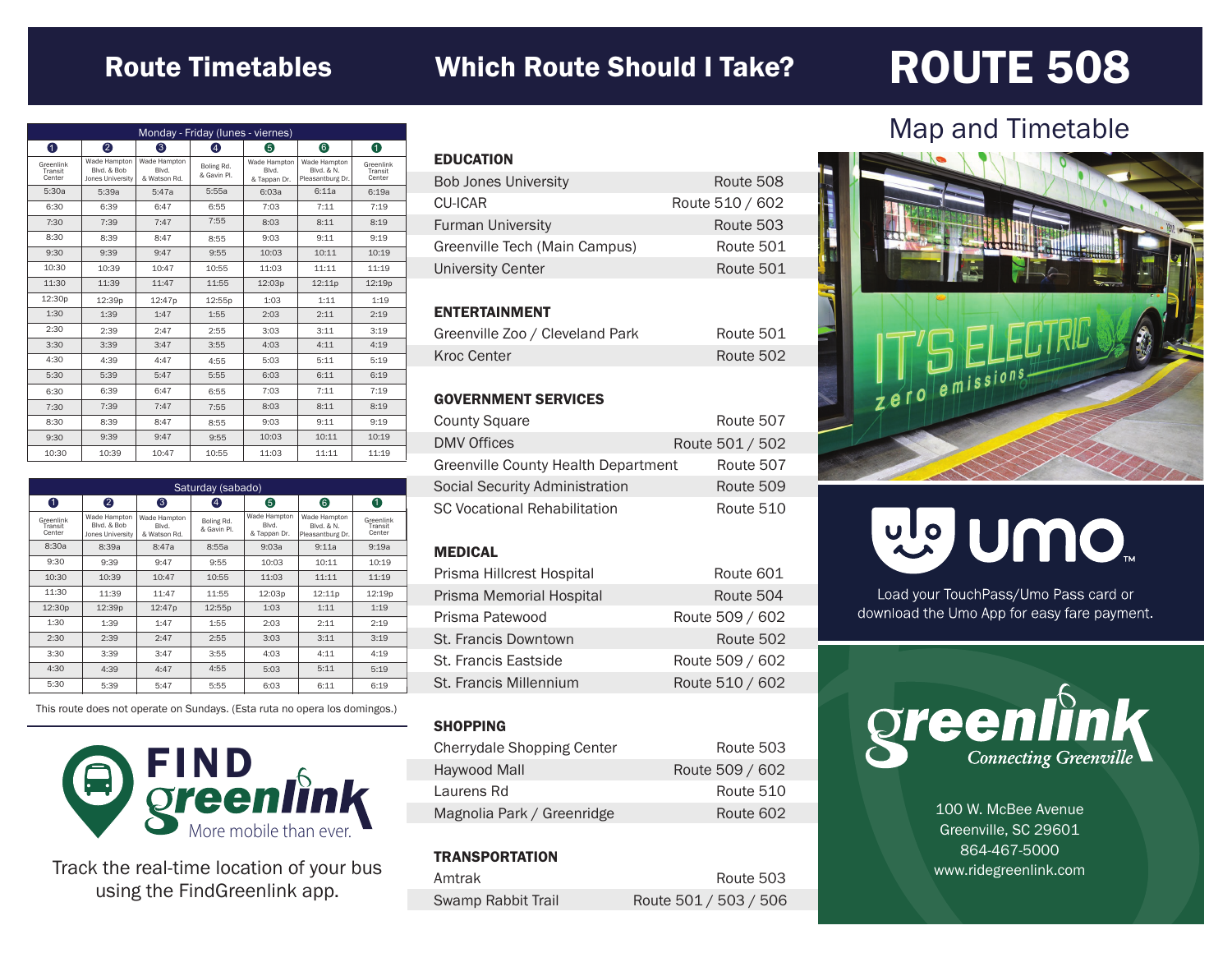### Route Timetables Which Route Should I Take?

## ROUTE 508

| Monday - Friday (lunes - viernes) |                                                 |                                       |                           |                                       |                                                |                                |
|-----------------------------------|-------------------------------------------------|---------------------------------------|---------------------------|---------------------------------------|------------------------------------------------|--------------------------------|
| 0                                 | 2                                               | 6                                     | A                         | 6                                     | 6                                              | 0                              |
| Greenlink<br>Transit<br>Center    | Wade Hampton<br>Blvd, & Bob<br>Jones University | Wade Hampton<br>Blvd.<br>& Watson Rd. | Boling Rd.<br>& Gavin Pl. | Wade Hampton<br>Blvd.<br>& Tappan Dr. | Wade Hampton<br>Blvd, & N.<br>Pleasantburg Dr. | Greenlink<br>Transit<br>Center |
| 5:30a                             | 5:39a                                           | 5:47a                                 | 5:55a                     | 6:0.3a                                | 6:11a                                          | 6:19a                          |
| 6:30                              | 6:39                                            | 6:47                                  | 6:55                      | 7:03                                  | 7:11                                           | 7:19                           |
| 7:30                              | 7:39                                            | 7:47                                  | 7:55                      | 8:03                                  | 8:11                                           | 8:19                           |
| 8:30                              | 8:39                                            | 8:47                                  | 8:55                      | 9:03                                  | 9:11                                           | 9:19                           |
| 9:30                              | 9:39                                            | 9:47                                  | 9:55                      | 10:03                                 | 10:11                                          | 10:19                          |
| 10:30                             | 10:39                                           | 10:47                                 | 10:55                     | 11:03                                 | 11:11                                          | 11:19                          |
| 11:30                             | 11:39                                           | 11:47                                 | 11:55                     | 12:03p                                | 12:11p                                         | 12:19p                         |
| 12:30p                            | 12:39p                                          | 12:47p                                | 12:55p                    | 1:03                                  | 1:11                                           | 1:19                           |
| 1:30                              | 1:39                                            | 1:47                                  | 1:55                      | 2:03                                  | 2:11                                           | 2:19                           |
| 2:30                              | 2:39                                            | 2:47                                  | 2:55                      | 3:03                                  | 3:11                                           | 3:19                           |
| 3:30                              | 3:39                                            | 3:47                                  | 3:55                      | 4:03                                  | 4:11                                           | 4:19                           |
| 4:30                              | 4:39                                            | 4:47                                  | 4:55                      | 5:03                                  | 5:11                                           | 5:19                           |
| 5:30                              | 5:39                                            | 5:47                                  | 5:55                      | 6:03                                  | 6:11                                           | 6:19                           |
| 6:30                              | 6:39                                            | 6:47                                  | 6:55                      | 7:03                                  | 7:11                                           | 7:19                           |
| 7:30                              | 7:39                                            | 7:47                                  | 7:55                      | 8:03                                  | 8:11                                           | 8:19                           |
| 8:30                              | 8:39                                            | 8:47                                  | 8:55                      | 9:03                                  | 9:11                                           | 9:19                           |
| 9:30                              | 9:39                                            | 9:47                                  | 9:55                      | 10:03                                 | 10:11                                          | 10:19                          |
| 10:30                             | 10:39                                           | 10:47                                 | 10:55                     | 11:03                                 | 11:11                                          | 11:19                          |

| Saturday (sabado)              |                                                 |                                       |                           |                                       |                                                |                                |
|--------------------------------|-------------------------------------------------|---------------------------------------|---------------------------|---------------------------------------|------------------------------------------------|--------------------------------|
| 0                              | 2                                               | 6                                     | 4                         | 6                                     | 6                                              | 0                              |
| Greenlink<br>Transit<br>Center | Wade Hampton<br>Blvd, & Bob<br>Jones University | Wade Hampton<br>Blvd.<br>& Watson Rd. | Boling Rd.<br>& Gavin Pl. | Wade Hampton<br>Blvd.<br>& Tappan Dr. | Wade Hampton<br>Blvd, & N.<br>Pleasantburg Dr. | Greenlink<br>Transit<br>Center |
| 8:30a                          | 8:39a                                           | 8:47a                                 | 8:55a                     | 9:03a                                 | 9:11a                                          | 9:19a                          |
| 9:30                           | 9:39                                            | 9:47                                  | 9:55                      | 10:03                                 | 10:11                                          | 10:19                          |
| 10:30                          | 10:39                                           | 10:47                                 | 10:55                     | 11:03                                 | 11:11                                          | 11:19                          |
| 11:30                          | 11:39                                           | 11:47                                 | 11:55                     | 12:03p                                | 12:11p                                         | 12:19 <sub>p</sub>             |
| 12:30p                         | 12:39p                                          | 12:47p                                | 12:55p                    | 1:03                                  | 1:11                                           | 1:19                           |
| 1:30                           | 1:39                                            | 1:47                                  | 1:55                      | 2:03                                  | 2:11                                           | 2:19                           |
| 2:30                           | 2:39                                            | 2:47                                  | 2:55                      | 3:03                                  | 3:11                                           | 3:19                           |
| 3:30                           | 3:39                                            | 3:47                                  | 3:55                      | 4:03                                  | 4:11                                           | 4:19                           |
| 4:30                           | 4:39                                            | 4:47                                  | 4:55                      | 5:03                                  | 5:11                                           | 5:19                           |
| 5:30                           | 5:39                                            | 5:47                                  | 5:55                      | 6:03                                  | 6:11                                           | 6:19                           |

This route does not operate on Sundays. (Esta ruta no opera los domingos.)



Track the real-time location of your bus using the FindGreenlink app.

| <b>EDUCATION</b>              |                 |
|-------------------------------|-----------------|
| <b>Bob Jones University</b>   | Route 508       |
| <b>CU-ICAR</b>                | Route 510 / 602 |
| <b>Furman University</b>      | Route 503       |
| Greenville Tech (Main Campus) | Route 501       |
| <b>University Center</b>      | Route 501       |
|                               |                 |

#### ENTERTAINMENT

| Greenville Zoo / Cleveland Park | Route 501 |
|---------------------------------|-----------|
| Kroc Center                     | Route 502 |

#### GOVERNMENT SERVICES

| <b>County Square</b>                | Route 507       |
|-------------------------------------|-----------------|
| <b>DMV Offices</b>                  | Route 501 / 502 |
| Greenville County Health Department | Route 507       |
| Social Security Administration      | Route 509       |
| <b>SC Vocational Rehabilitation</b> | Route 510       |

#### MEDICAL

| Prisma Hillcrest Hospital | Route 601       |
|---------------------------|-----------------|
| Prisma Memorial Hospital  | Route 504       |
| Prisma Patewood           | Route 509 / 602 |
| St. Francis Downtown      | Route 502       |
| St. Francis Eastside      | Route 509 / 602 |
| St. Francis Millennium    | Route 510 / 602 |

#### **SHOPPING**

| Cherrydale Shopping Center | Route 503       |
|----------------------------|-----------------|
| Haywood Mall               | Route 509 / 602 |
| Laurens Rd                 | Route 510       |
| Magnolia Park / Greenridge | Route 602       |

#### **TRANSPORTATION**

| Amtrak             | Route 503             |
|--------------------|-----------------------|
| Swamp Rabbit Trail | Route 501 / 503 / 506 |

### Map and Timetable



# ng nuo"

Load your TouchPass/Umo Pass card or download the Umo App for easy fare payment.



100 W. McBee Avenue Greenville, SC 29601 864-467-5000 www.ridegreenlink.com